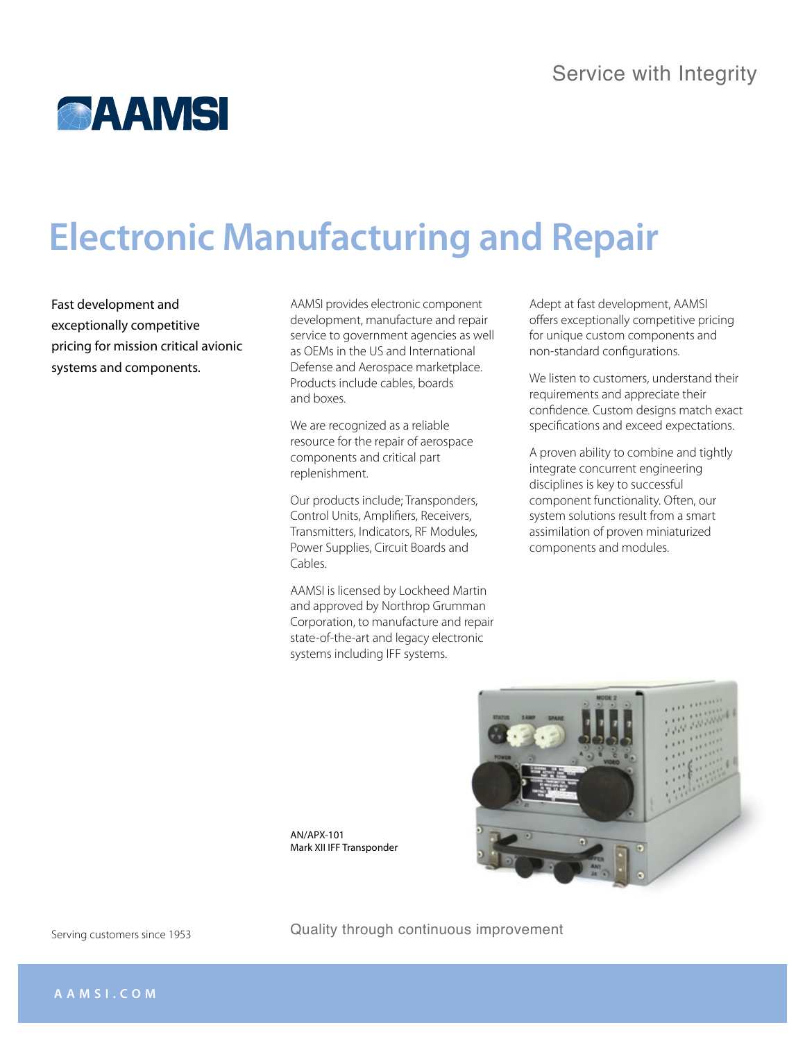## **AAMSI**

# **Electronic Manufacturing and Repair**

Fast development and exceptionally competitive pricing for mission critical avionic systems and components.

AAMSI provides electronic component development, manufacture and repair service to government agencies as well as OEMs in the US and International Defense and Aerospace marketplace. Products include cables, boards and boxes.

We are recognized as a reliable resource for the repair of aerospace components and critical part replenishment.

Our products include; Transponders, Control Units, Amplifiers, Receivers, Transmitters, Indicators, RF Modules, Power Supplies, Circuit Boards and Cables.

AAMSI is licensed by Lockheed Martin and approved by Northrop Grumman Corporation, to manufacture and repair state-of-the-art and legacy electronic systems including IFF systems.

Adept at fast development, AAMSI offers exceptionally competitive pricing for unique custom components and non-standard configurations.

We listen to customers, understand their requirements and appreciate their confidence. Custom designs match exact specifications and exceed expectations.

A proven ability to combine and tightly integrate concurrent engineering disciplines is key to successful component functionality. Often, our system solutions result from a smart assimilation of proven miniaturized components and modules.

AN/APX-101 Mark XII IFF Transponder

Quality through continuous improvement

Serving customers since 1953



**a a m s i . c o m**